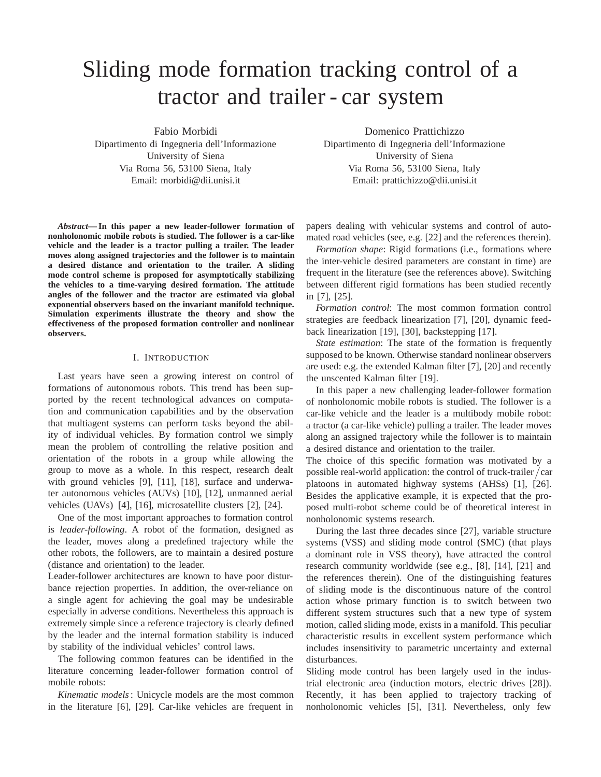# Sliding mode formation tracking control of a tractor and trailer - car system

Fabio Morbidi

Dipartimento di Ingegneria dell'Informazione University of Siena Via Roma 56, 53100 Siena, Italy Email: morbidi@dii.unisi.it

*Abstract***— In this paper a new leader-follower formation of nonholonomic mobile robots is studied. The follower is a car-like vehicle and the leader is a tractor pulling a trailer. The leader moves along assigned trajectories and the follower is to maintain a desired distance and orientation to the trailer. A sliding mode control scheme is proposed for asymptotically stabilizing the vehicles to a time-varying desired formation. The attitude angles of the follower and the tractor are estimated via global exponential observers based on the invariant manifold technique. Simulation experiments illustrate the theory and show the effectiveness of the proposed formation controller and nonlinear observers.**

### I. INTRODUCTION

Last years have seen a growing interest on control of formations of autonomous robots. This trend has been supported by the recent technological advances on computation and communication capabilities and by the observation that multiagent systems can perform tasks beyond the ability of individual vehicles. By formation control we simply mean the problem of controlling the relative position and orientation of the robots in a group while allowing the group to move as a whole. In this respect, research dealt with ground vehicles [9], [11], [18], surface and underwater autonomous vehicles (AUVs) [10], [12], unmanned aerial vehicles (UAVs) [4], [16], microsatellite clusters [2], [24].

One of the most important approaches to formation control is *leader-following*. A robot of the formation, designed as the leader, moves along a predefined trajectory while the other robots, the followers, are to maintain a desired posture (distance and orientation) to the leader.

Leader-follower architectures are known to have poor disturbance rejection properties. In addition, the over-reliance on a single agent for achieving the goal may be undesirable especially in adverse conditions. Nevertheless this approach is extremely simple since a reference trajectory is clearly defined by the leader and the internal formation stability is induced by stability of the individual vehicles' control laws.

The following common features can be identified in the literature concerning leader-follower formation control of mobile robots:

*Kinematic models*: Unicycle models are the most common in the literature [6], [29]. Car-like vehicles are frequent in

Domenico Prattichizzo

Dipartimento di Ingegneria dell'Informazione University of Siena Via Roma 56, 53100 Siena, Italy Email: prattichizzo@dii.unisi.it

papers dealing with vehicular systems and control of automated road vehicles (see, e.g. [22] and the references therein).

*Formation shape*: Rigid formations (i.e., formations where the inter-vehicle desired parameters are constant in time) are frequent in the literature (see the references above). Switching between different rigid formations has been studied recently in [7], [25].

*Formation control*: The most common formation control strategies are feedback linearization [7], [20], dynamic feedback linearization [19], [30], backstepping [17].

*State estimation*: The state of the formation is frequently supposed to be known. Otherwise standard nonlinear observers are used: e.g. the extended Kalman filter [7], [20] and recently the unscented Kalman filter [19].

In this paper a new challenging leader-follower formation of nonholonomic mobile robots is studied. The follower is a car-like vehicle and the leader is a multibody mobile robot: a tractor (a car-like vehicle) pulling a trailer. The leader moves along an assigned trajectory while the follower is to maintain a desired distance and orientation to the trailer.

The choice of this specific formation was motivated by a possible real-world application: the control of truck-trailer  $/$ car platoons in automated highway systems (AHSs) [1], [26]. Besides the applicative example, it is expected that the proposed multi-robot scheme could be of theoretical interest in nonholonomic systems research.

During the last three decades since [27], variable structure systems (VSS) and sliding mode control (SMC) (that plays a dominant role in VSS theory), have attracted the control research community worldwide (see e.g., [8], [14], [21] and the references therein). One of the distinguishing features of sliding mode is the discontinuous nature of the control action whose primary function is to switch between two different system structures such that a new type of system motion, called sliding mode, exists in a manifold. This peculiar characteristic results in excellent system performance which includes insensitivity to parametric uncertainty and external disturbances.

Sliding mode control has been largely used in the industrial electronic area (induction motors, electric drives [28]). Recently, it has been applied to trajectory tracking of nonholonomic vehicles [5], [31]. Nevertheless, only few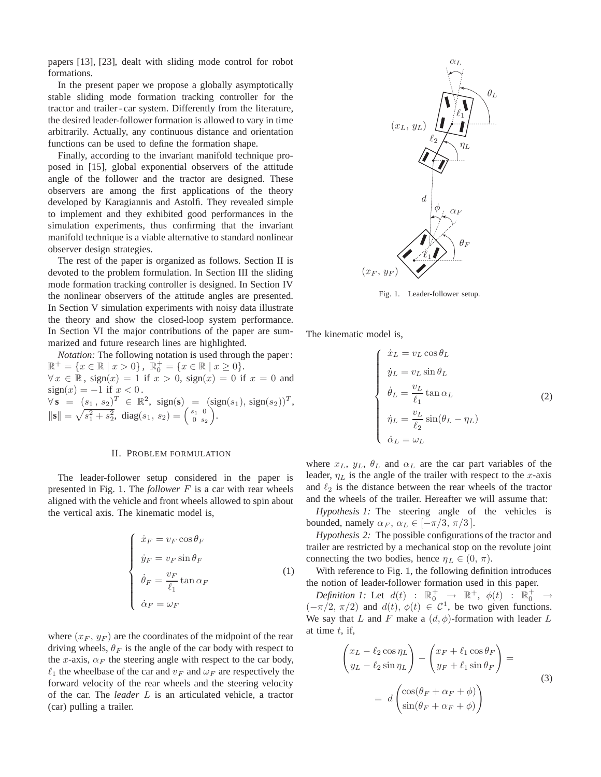papers [13], [23], dealt with sliding mode control for robot formations.

In the present paper we propose a globally asymptotically stable sliding mode formation tracking controller for the tractor and trailer - car system. Differently from the literature, the desired leader-follower formation is allowed to vary in time arbitrarily. Actually, any continuous distance and orientation functions can be used to define the formation shape.

Finally, according to the invariant manifold technique proposed in [15], global exponential observers of the attitude angle of the follower and the tractor are designed. These observers are among the first applications of the theory developed by Karagiannis and Astolfi. They revealed simple to implement and they exhibited good performances in the simulation experiments, thus confirming that the invariant manifold technique is a viable alternative to standard nonlinear observer design strategies.

The rest of the paper is organized as follows. Section II is devoted to the problem formulation. In Section III the sliding mode formation tracking controller is designed. In Section IV the nonlinear observers of the attitude angles are presented. In Section V simulation experiments with noisy data illustrate the theory and show the closed-loop system performance. In Section VI the major contributions of the paper are summarized and future research lines are highlighted.

*Notation:* The following notation is used through the paper :  $\mathbb{R}^+ = \{x \in \mathbb{R} \mid x > 0\}, \ \overline{\mathbb{R}^+_0} = \{x \in \mathbb{R} \mid x \ge 0\}.$  $\forall x \in \mathbb{R}$ , sign(x) = 1 if  $x > 0$ , sign(x) = 0 if  $x = 0$  and  $sign(x) = -1$  if  $x < 0$ .  $\forall s = (s_1, s_2)^T \in \mathbb{R}^2$ , sign(s) = (sign(s<sub>1</sub>), sign(s<sub>2</sub>))<sup>T</sup>,  $\|\mathbf{s}\| = \sqrt{s_1^2 + s_2^2}, \text{ diag}(s_1, s_2) = \begin{pmatrix} s_1 & 0 \\ 0 & s_2 \end{pmatrix}.$ 

## II. PROBLEM FORMULATION

The leader-follower setup considered in the paper is presented in Fig. 1. The *follower* F is a car with rear wheels aligned with the vehicle and front wheels allowed to spin about the vertical axis. The kinematic model is,

$$
\begin{cases}\n\dot{x}_F = v_F \cos \theta_F \\
\dot{y}_F = v_F \sin \theta_F \\
\dot{\theta}_F = \frac{v_F}{\ell_1} \tan \alpha_F \\
\dot{\alpha}_F = \omega_F\n\end{cases}
$$
\n(1)

where  $(x_F, y_F)$  are the coordinates of the midpoint of the rear driving wheels,  $\theta_F$  is the angle of the car body with respect to the x-axis,  $\alpha_F$  the steering angle with respect to the car body,  $\ell_1$  the wheelbase of the car and  $v_F$  and  $\omega_F$  are respectively the forward velocity of the rear wheels and the steering velocity of the car. The *leader* L is an articulated vehicle, a tractor (car) pulling a trailer.



Fig. 1. Leader-follower setup.

The kinematic model is,

$$
\begin{cases}\n\dot{x}_L = v_L \cos \theta_L \\
\dot{y}_L = v_L \sin \theta_L \\
\dot{\theta}_L = \frac{v_L}{\ell_1} \tan \alpha_L \\
\dot{\eta}_L = \frac{v_L}{\ell_2} \sin(\theta_L - \eta_L) \\
\dot{\alpha}_L = \omega_L\n\end{cases}
$$
\n(2)

where  $x_L$ ,  $y_L$ ,  $\theta_L$  and  $\alpha_L$  are the car part variables of the leader,  $\eta_L$  is the angle of the trailer with respect to the x-axis and  $\ell_2$  is the distance between the rear wheels of the tractor and the wheels of the trailer. Hereafter we will assume that:

*Hypothesis 1:* The steering angle of the vehicles is bounded, namely  $\alpha_F$ ,  $\alpha_L \in [-\pi/3, \pi/3]$ .

*Hypothesis 2:* The possible configurations of the tractor and trailer are restricted by a mechanical stop on the revolute joint connecting the two bodies, hence  $\eta_L \in (0, \pi)$ .

With reference to Fig. 1, the following definition introduces the notion of leader-follower formation used in this paper.

*Definition 1:* Let  $d(t)$  :  $\mathbb{R}_0^+$   $\rightarrow$   $\mathbb{R}^+$ ,  $\phi(t)$  :  $\mathbb{R}_0^+$   $\rightarrow$  $(-\pi/2, \pi/2)$  and  $d(t), \phi(t) \in C^1$ , be two given functions. We say that L and F make a  $(d, \phi)$ -formation with leader L at time  $t$ , if,

$$
\begin{pmatrix} x_L - \ell_2 \cos \eta_L \\ y_L - \ell_2 \sin \eta_L \end{pmatrix} - \begin{pmatrix} x_F + \ell_1 \cos \theta_F \\ y_F + \ell_1 \sin \theta_F \end{pmatrix} =
$$
  
=  $d \begin{pmatrix} \cos(\theta_F + \alpha_F + \phi) \\ \sin(\theta_F + \alpha_F + \phi) \end{pmatrix}$  (3)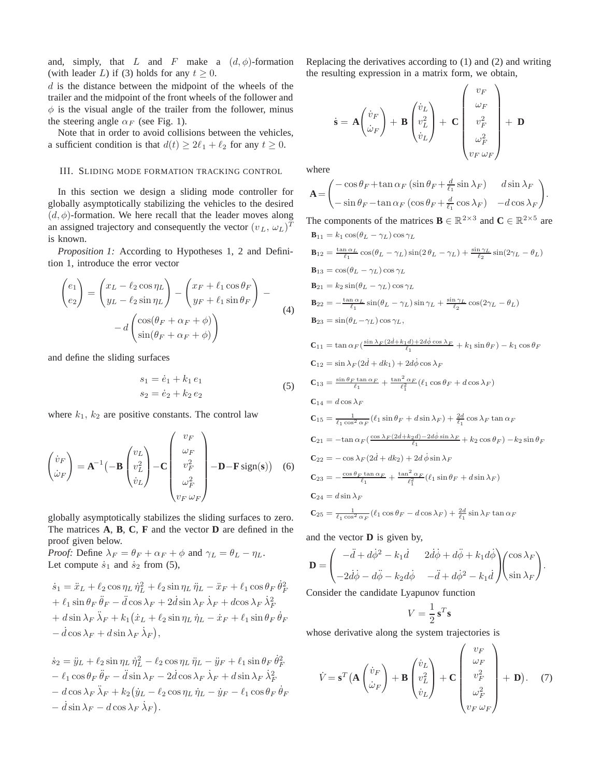and, simply, that L and F make a  $(d, \phi)$ -formation (with leader L) if (3) holds for any  $t \geq 0$ .

 $d$  is the distance between the midpoint of the wheels of the trailer and the midpoint of the front wheels of the follower and  $\phi$  is the visual angle of the trailer from the follower, minus the steering angle  $\alpha_F$  (see Fig. 1).

Note that in order to avoid collisions between the vehicles, a sufficient condition is that  $d(t) \geq 2\ell_1 + \ell_2$  for any  $t \geq 0$ .

## III. SLIDING MODE FORMATION TRACKING CONTROL

In this section we design a sliding mode controller for globally asymptotically stabilizing the vehicles to the desired  $(d, \phi)$ -formation. We here recall that the leader moves along an assigned trajectory and consequently the vector  $(v_L, \omega_L)^T$ is known.

*Proposition 1:* According to Hypotheses 1, 2 and Definition 1, introduce the error vector

$$
\begin{pmatrix} e_1 \\ e_2 \end{pmatrix} = \begin{pmatrix} x_L - \ell_2 \cos \eta_L \\ y_L - \ell_2 \sin \eta_L \end{pmatrix} - \begin{pmatrix} x_F + \ell_1 \cos \theta_F \\ y_F + \ell_1 \sin \theta_F \end{pmatrix} - d \begin{pmatrix} \cos(\theta_F + \alpha_F + \phi) \\ \sin(\theta_F + \alpha_F + \phi) \end{pmatrix}
$$
 (4)

and define the sliding surfaces

$$
s_1 = \dot{e}_1 + k_1 e_1 s_2 = \dot{e}_2 + k_2 e_2
$$
 (5)

where  $k_1$ ,  $k_2$  are positive constants. The control law

$$
\begin{pmatrix} \dot{v}_F \\ \dot{\omega}_F \end{pmatrix} = \mathbf{A}^{-1} \begin{pmatrix} -\mathbf{B} \begin{pmatrix} v_L \\ v_L^2 \\ \dot{v}_L \end{pmatrix} - \mathbf{C} \begin{pmatrix} v_F \\ w_F \\ v_F^2 \\ \omega_F^2 \\ v_F \omega_F \end{pmatrix} - \mathbf{D} - \mathbf{F} \text{sign}(\mathbf{s}) \end{pmatrix} \quad (6)
$$

globally asymptotically stabilizes the sliding surfaces to zero. The matrices **A**, **B**, **C**, **F** and the vector **D** are defined in the proof given below.

*Proof:* Define  $\lambda_F = \theta_F + \alpha_F + \phi$  and  $\gamma_L = \theta_L - \eta_L$ . Let compute  $\dot{s}_1$  and  $\dot{s}_2$  from (5),

$$
\begin{split} \dot{s}_1 &= \ddot{x}_L + \ell_2 \cos \eta_L \, \dot{\eta}_L^2 + \ell_2 \sin \eta_L \, \ddot{\eta}_L - \ddot{x}_F + \ell_1 \cos \theta_F \, \dot{\theta}_F^2 \\ &+ \ell_1 \sin \theta_F \, \ddot{\theta}_F - \ddot{d} \cos \lambda_F + 2 \dot{d} \sin \lambda_F \, \dot{\lambda}_F + d \cos \lambda_F \, \dot{\lambda}_F^2 \\ &+ d \sin \lambda_F \, \ddot{\lambda}_F + k_1 (\dot{x}_L + \ell_2 \sin \eta_L \, \dot{\eta}_L - \dot{x}_F + \ell_1 \sin \theta_F \, \dot{\theta}_F \\ &- \dot{d} \cos \lambda_F + d \sin \lambda_F \, \dot{\lambda}_F), \end{split}
$$

 $\dot{s}_2 = \ddot{y}_L + \ell_2 \sin \eta_L \, \dot{\eta}_L^2 - \ell_2 \cos \eta_L \, \ddot{\eta}_L - \ddot{y}_F + \ell_1 \sin \theta_F \, \dot{\theta}_F^2$  $-\ell_1 \cos \theta_F \ddot{\theta}_F - \ddot{d} \sin \lambda_F - 2\dot{d} \cos \lambda_F \dot{\lambda}_F + d \sin \lambda_F \dot{\lambda}_F^2$  $- d \cos \lambda_F \ddot{\lambda}_F + k_2 (\dot{y}_L - \ell_2 \cos \eta_L \dot{\eta}_L - \dot{y}_F - \ell_1 \cos \theta_F \dot{\theta}_F)$  $-\dot{d}\sin\lambda_F - d\cos\lambda_F \dot{\lambda}_F$ ).

Replacing the derivatives according to (1) and (2) and writing the resulting expression in a matrix form, we obtain,

$$
\dot{\mathbf{s}} = \mathbf{A} \begin{pmatrix} \dot{v}_F \\ \dot{\omega}_F \end{pmatrix} + \mathbf{B} \begin{pmatrix} \dot{v}_L \\ v_L^2 \\ \dot{v}_L \end{pmatrix} + \mathbf{C} \begin{pmatrix} v_F \\ \omega_F \\ v_F^2 \\ \omega_F^2 \\ v_F \omega_F \end{pmatrix} + \mathbf{D}
$$

where

$$
\mathbf{A} = \begin{pmatrix} -\cos\theta_F + \tan\alpha_F\left(\sin\theta_F + \frac{d}{\ell_1}\sin\lambda_F\right) & d\sin\lambda_F \\ -\sin\theta_F - \tan\alpha_F\left(\cos\theta_F + \frac{d}{\ell_1}\cos\lambda_F\right) & -d\cos\lambda_F \end{pmatrix}.
$$

The components of the matrices  $\mathbf{B} \in \mathbb{R}^{2 \times 3}$  and  $\mathbf{C} \in \mathbb{R}^{2 \times 5}$  are  $\mathbf{B}_{11} = k_1 \cos(\theta_L - \gamma_L) \cos \gamma_L$  $\mathbf{B}_{12} = \frac{\tan \alpha_L}{\ell_1} \cos(\theta_L - \gamma_L) \sin(2\theta_L - \gamma_L) + \frac{\sin \gamma_L}{\ell_2} \sin(2\gamma_L - \theta_L)$  $\mathbf{B}_{13} = \cos(\theta_L - \gamma_L) \cos \gamma_L$ **B**<sub>21</sub> =  $k_2 \sin(\theta_L - \gamma_L) \cos \gamma_L$  $$  $\mathbf{B}_{23} = \sin(\theta_L - \gamma_L) \cos \gamma_L,$  $\mathbf{C}_{11} = \tan \alpha_F \left( \frac{\sin \lambda_F (2\dot{d} + k_1 d) + 2d\dot{\phi} \cos \lambda_F}{\ell_1} + k_1 \sin \theta_F \right) - k_1 \cos \theta_F$  $C_{12} = \sin \lambda_F (2d + dk_1) + 2d\phi \cos \lambda_F$  $C_{13} = \frac{\sin \theta_F \tan \alpha_F}{\ell_1} + \frac{\tan^2 \alpha_F}{\ell_1^2} (\ell_1 \cos \theta_F + d \cos \lambda_F)$  $C_{14} = d \cos \lambda_F$  $\mathbf{C}_{15} = \frac{1}{\ell_1 \cos^2 \alpha_F} (\ell_1 \sin \theta_F + d \sin \lambda_F) + \frac{2d}{\ell_1} \cos \lambda_F \tan \alpha_F$ 

$$
C_{21} = -\tan \alpha_F \left(\frac{\cos \lambda_F (2d + k_2d) - 2d\phi \sin \lambda_F}{\ell_1} + k_2 \cos \theta_F\right) - k_2 \sin \theta_F
$$
  
\n
$$
C_{22} = -\cos \lambda_F (2d + dk_2) + 2d\phi \sin \lambda_F
$$
  
\n
$$
C_{23} = -\frac{\cos \theta_F \tan \alpha_F}{\ell_1} + \frac{\tan^2 \alpha_F}{\ell_1^2} (\ell_1 \sin \theta_F + d \sin \lambda_F)
$$
  
\n
$$
C_{24} = d \sin \lambda_F
$$
  
\n
$$
C_{25} = \frac{1}{\ell_1 \cos^2 \alpha_F} (\ell_1 \cos \theta_F - d \cos \lambda_F) + \frac{2d}{\ell_1} \sin \lambda_F \tan \alpha_F
$$

and the vector **D** is given by,

$$
\mathbf{D} = \begin{pmatrix} -\ddot{d} + d\dot{\phi}^2 - k_1 \dot{d} & 2\dot{d}\dot{\phi} + d\ddot{\phi} + k_1 d\dot{\phi} \\ -2\dot{d}\dot{\phi} - d\ddot{\phi} - k_2 d\dot{\phi} & -\ddot{d} + d\dot{\phi}^2 - k_1 \dot{d} \end{pmatrix} \begin{pmatrix} \cos \lambda_F \\ \sin \lambda_F \end{pmatrix}.
$$

Consider the candidate Lyapunov function

$$
V=\frac{1}{2}\,\mathbf{s}^T\mathbf{s}
$$

whose derivative along the system trajectories is

$$
\dot{V} = \mathbf{s}^{T} \left( \mathbf{A} \begin{pmatrix} \dot{v}_{F} \\ \dot{\omega}_{F} \end{pmatrix} + \mathbf{B} \begin{pmatrix} \dot{v}_{L} \\ v_{L}^{2} \\ \dot{v}_{L} \end{pmatrix} + \mathbf{C} \begin{pmatrix} v_{F} \\ v_{F}^{2} \\ v_{F}^{2} \\ \omega_{F}^{2} \\ v_{F} \omega_{F} \end{pmatrix} + \mathbf{D} \right). \quad (7)
$$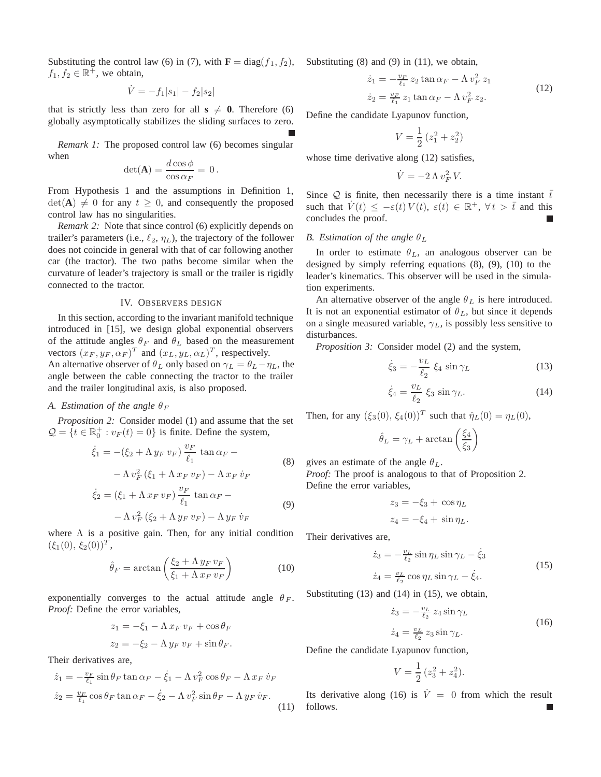Substituting the control law (6) in (7), with  $\mathbf{F} = \text{diag}(f_1, f_2)$ ,  $f_1, f_2 \in \mathbb{R}^+$ , we obtain,

$$
\dot{V} = -f_1|s_1| - f_2|s_2|
$$

that is strictly less than zero for all  $s \neq 0$ . Therefore (6) globally asymptotically stabilizes the sliding surfaces to zero.

*Remark 1:* The proposed control law (6) becomes singular when

$$
\det(\mathbf{A}) = \frac{d\cos\phi}{\cos\alpha_F} = 0.
$$

From Hypothesis 1 and the assumptions in Definition 1,  $\det(A) \neq 0$  for any  $t \geq 0$ , and consequently the proposed control law has no singularities.

*Remark 2:* Note that since control (6) explicitly depends on trailer's parameters (i.e.,  $\ell_2$ ,  $\eta_L$ ), the trajectory of the follower does not coincide in general with that of car following another car (the tractor). The two paths become similar when the curvature of leader's trajectory is small or the trailer is rigidly connected to the tractor.

### IV. OBSERVERS DESIGN

In this section, according to the invariant manifold technique introduced in [15], we design global exponential observers of the attitude angles  $\theta_F$  and  $\theta_L$  based on the measurement vectors  $(x_F, y_F, \alpha_F)^T$  and  $(x_L, y_L, \alpha_L)^T$ , respectively.

An alternative observer of  $\theta_L$  only based on  $\gamma_L = \theta_L - \eta_L$ , the angle between the cable connecting the tractor to the trailer and the trailer longitudinal axis, is also proposed.

# *A. Estimation of the angle*  $\theta_F$

*Proposition 2:* Consider model (1) and assume that the set  $\mathcal{Q} = \{t \in \mathbb{R}_0^+ : v_F(t) = 0\}$  is finite. Define the system,

$$
\dot{\xi}_1 = -(\xi_2 + \Lambda y_F v_F) \frac{v_F}{\ell_1} \tan \alpha_F -
$$
\n
$$
- \Lambda v_F^2 (\xi_1 + \Lambda x_F v_F) - \Lambda x_F v_F
$$
\n
$$
\dot{\xi}_2 = (\xi_1 + \Lambda x_F v_F) \frac{v_F}{\ell_1} \tan \alpha_F -
$$
\n
$$
- \Lambda v_F^2 (\xi_2 + \Lambda y_F v_F) - \Lambda y_F v_F
$$
\n(9)

where  $\Lambda$  is a positive gain. Then, for any initial condition  $(\xi_1(0), \xi_2(0))^T$ ,

$$
\hat{\theta}_F = \arctan\left(\frac{\xi_2 + \Lambda y_F v_F}{\xi_1 + \Lambda x_F v_F}\right) \tag{10}
$$

exponentially converges to the actual attitude angle  $\theta_F$ . *Proof:* Define the error variables,

$$
z_1 = -\xi_1 - \Lambda x_F v_F + \cos \theta_F
$$
  

$$
z_2 = -\xi_2 - \Lambda y_F v_F + \sin \theta_F.
$$

Their derivatives are,

$$
\dot{z}_1 = -\frac{v_F}{\ell_1} \sin \theta_F \tan \alpha_F - \dot{\xi}_1 - \Lambda v_F^2 \cos \theta_F - \Lambda x_F \dot{v}_F
$$
  
\n
$$
\dot{z}_2 = \frac{v_F}{\ell_1} \cos \theta_F \tan \alpha_F - \dot{\xi}_2 - \Lambda v_F^2 \sin \theta_F - \Lambda y_F \dot{v}_F.
$$
\n(11)

Substituting (8) and (9) in (11), we obtain,

$$
\dot{z}_1 = -\frac{v_F}{\ell_1} z_2 \tan \alpha_F - \Lambda v_F^2 z_1
$$
  
\n
$$
\dot{z}_2 = \frac{v_F}{\ell_1} z_1 \tan \alpha_F - \Lambda v_F^2 z_2.
$$
\n(12)

Define the candidate Lyapunov function,

$$
V = \frac{1}{2} \left( z_1^2 + z_2^2 \right)
$$

whose time derivative along  $(12)$  satisfies,

$$
\dot{V} = -2 \Lambda v_F^2 V.
$$

Since Q is finite, then necessarily there is a time instant  $\bar{t}$ such that  $\overline{V}(t) \leq -\varepsilon(t) V(t), \varepsilon(t) \in \mathbb{R}^+, \forall t > \overline{t}$  and this concludes the proof.

#### *B. Estimation of the angle*  $\theta_L$

In order to estimate  $\theta_L$ , an analogous observer can be designed by simply referring equations (8), (9), (10) to the leader's kinematics. This observer will be used in the simulation experiments.

An alternative observer of the angle  $\theta_L$  is here introduced. It is not an exponential estimator of  $\theta_L$ , but since it depends on a single measured variable,  $\gamma_L$ , is possibly less sensitive to disturbances.

*Proposition 3:* Consider model (2) and the system,

$$
\dot{\xi}_3 = -\frac{v_L}{\ell_2} \xi_4 \sin \gamma_L \tag{13}
$$

$$
\dot{\xi}_4 = \frac{v_L}{\ell_2} \xi_3 \sin \gamma_L. \tag{14}
$$

Then, for any  $(\xi_3(0), \xi_4(0))^T$  such that  $\hat{\eta}_L(0) = \eta_L(0)$ ,

$$
\hat{\theta}_L = \gamma_L + \arctan\left(\frac{\xi_4}{\xi_3}\right)
$$

gives an estimate of the angle  $\theta_L$ .

*Proof:* The proof is analogous to that of Proposition 2. Define the error variables,

$$
z_3 = -\xi_3 + \cos \eta_L
$$
  

$$
z_4 = -\xi_4 + \sin \eta_L.
$$

Their derivatives are,

$$
\dot{z}_3 = -\frac{v_L}{\ell_2} \sin \eta_L \sin \gamma_L - \dot{\xi}_3
$$
  

$$
\dot{z}_4 = \frac{v_L}{\ell_2} \cos \eta_L \sin \gamma_L - \dot{\xi}_4.
$$
 (15)

Substituting (13) and (14) in (15), we obtain,

$$
\begin{aligned} \dot{z}_3 &= -\frac{v_L}{\ell_2} \, z_4 \sin \gamma_L \\ \dot{z}_4 &= \frac{v_L}{\ell_2} \, z_3 \sin \gamma_L. \end{aligned} \tag{16}
$$

Define the candidate Lyapunov function,

$$
V = \frac{1}{2} (z_3^2 + z_4^2).
$$

Its derivative along (16) is  $\dot{V} = 0$  from which the result follows.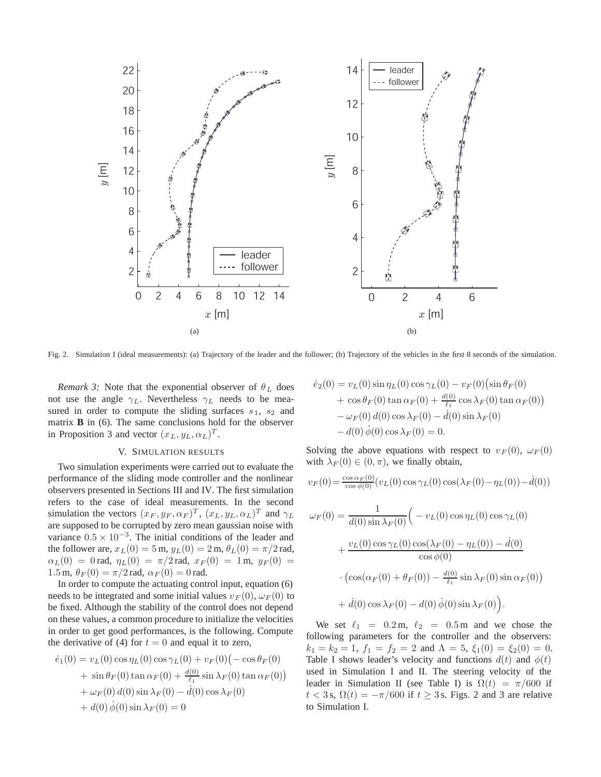

Fig. 2. Simulation I (ideal measurements): (a) Trajectory of the leader and the follower; (b) Trajectory of the vehicles in the first 8 seconds of the simulation.

*Remark 3:* Note that the exponential observer of  $\theta_L$  does not use the angle  $\gamma_L$ . Nevertheless  $\gamma_L$  needs to be measured in order to compute the sliding surfaces  $s_1$ ,  $s_2$  and matrix **B** in (6). The same conclusions hold for the observer in Proposition 3 and vector  $(x_L, y_L, \alpha_L)^T$ .

# V. SIMULATION RESULTS

Two simulation experiments were carried out to evaluate the performance of the sliding mode controller and the nonlinear observers presented in Sections III and IV. The first simulation refers to the case of ideal measurements. In the second simulation the vectors  $(x_F, y_F, \alpha_F)^T$ ,  $(x_L, y_L, \alpha_L)^T$  and  $\gamma_L$ are supposed to be corrupted by zero mean gaussian noise with variance  $0.5 \times 10^{-3}$ . The initial conditions of the leader and the follower are,  $x_L(0) = 5$  m,  $y_L(0) = 2$  m,  $\theta_L(0) = \pi/2$  rad,  $\alpha_L(0) = 0$  rad,  $\eta_L(0) = \pi/2$  rad,  $x_F(0) = 1$  m,  $y_F(0) = 0$ 1.5 m,  $\theta_F(0) = \pi/2$  rad,  $\alpha_F(0) = 0$  rad.

In order to compute the actuating control input, equation (6) needs to be integrated and some initial values  $v_F (0)$ ,  $\omega_F (0)$  to be fixed. Although the stability of the control does not depend on these values, a common procedure to initialize the velocities in order to get good performances, is the following. Compute the derivative of (4) for  $t = 0$  and equal it to zero,

$$
\dot{e}_1(0) = v_L(0) \cos \eta_L(0) \cos \gamma_L(0) + v_F(0) (- \cos \theta_F(0) \n+ \sin \theta_F(0) \tan \alpha_F(0) + \frac{d(0)}{\ell_1} \sin \lambda_F(0) \tan \alpha_F(0) \n+ \omega_F(0) d(0) \sin \lambda_F(0) - \dot{d}(0) \cos \lambda_F(0) \n+ d(0) \dot{\phi}(0) \sin \lambda_F(0) = 0
$$

$$
\dot{e}_2(0) = v_L(0) \sin \eta_L(0) \cos \gamma_L(0) - v_F(0) (\sin \theta_F(0) \n+ \cos \theta_F(0) \tan \alpha_F(0) + \frac{d(0)}{\ell_1} \cos \lambda_F(0) \tan \alpha_F(0) \n- \omega_F(0) d(0) \cos \lambda_F(0) - \dot{d}(0) \sin \lambda_F(0) \n- d(0) \dot{\phi}(0) \cos \lambda_F(0) = 0.
$$

Solving the above equations with respect to  $v_F(0)$ ,  $\omega_F(0)$ with  $\lambda_F(0) \in (0, \pi)$ , we finally obtain,

$$
v_F(0) = \frac{\cos \alpha_F(0)}{\cos \phi(0)} (v_L(0) \cos \gamma_L(0) \cos (\lambda_F(0) - \eta_L(0)) - \dot{d}(0))
$$

$$
\omega_F(0) = \frac{1}{d(0)\sin\lambda_F(0)} \Big( -v_L(0)\cos\eta_L(0)\cos\gamma_L(0) \n+ \frac{v_L(0)\cos\gamma_L(0)\cos(\lambda_F(0) - \eta_L(0)) - \dot{d}(0)}{\cos\phi(0)} \n\cdot (\cos(\alpha_F(0) + \theta_F(0)) - \frac{d(0)}{\ell_1}\sin\lambda_F(0)\sin\alpha_F(0)) \n+ \dot{d}(0)\cos\lambda_F(0) - d(0)\dot{\phi}(0)\sin\lambda_F(0) \Big).
$$

We set  $\ell_1$  = 0.2 m,  $\ell_2$  = 0.5 m and we chose the following parameters for the controller and the observers:  $k_1 = k_2 = 1$ ,  $f_1 = f_2 = 2$  and  $\Lambda = 5$ ,  $\xi_1(0) = \xi_2(0) = 0$ . Table I shows leader's velocity and functions  $d(t)$  and  $\phi(t)$ used in Simulation I and II. The steering velocity of the leader in Simulation II (see Table I) is  $\Omega(t) = \pi/600$  if  $t < 3$  s,  $\Omega(t) = -\pi/600$  if  $t \ge 3$  s. Figs. 2 and 3 are relative to Simulation I.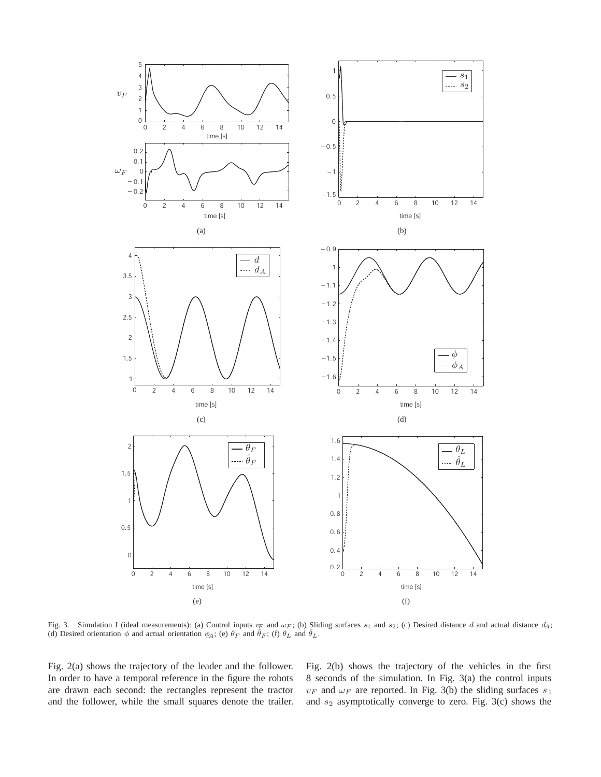

Fig. 3. Simulation I (ideal measurements): (a) Control inputs  $v_F$  and  $\omega_F$ ; (b) Sliding surfaces  $s_1$  and  $s_2$ ; (c) Desired distance d and actual distance  $d_A$ ; (d) Desired orientation  $\phi$  and actual orientation  $\phi_A$ ; (e)  $\theta_F$  and  $\ddot{\theta}_F$ ; (f)  $\theta_L$  and  $\ddot{\theta}_L$ .

Fig. 2(a) shows the trajectory of the leader and the follower. In order to have a temporal reference in the figure the robots are drawn each second: the rectangles represent the tractor and the follower, while the small squares denote the trailer.

Fig. 2(b) shows the trajectory of the vehicles in the first 8 seconds of the simulation. In Fig. 3(a) the control inputs  $v_F$  and  $\omega_F$  are reported. In Fig. 3(b) the sliding surfaces  $s_1$ and  $s_2$  asymptotically converge to zero. Fig. 3(c) shows the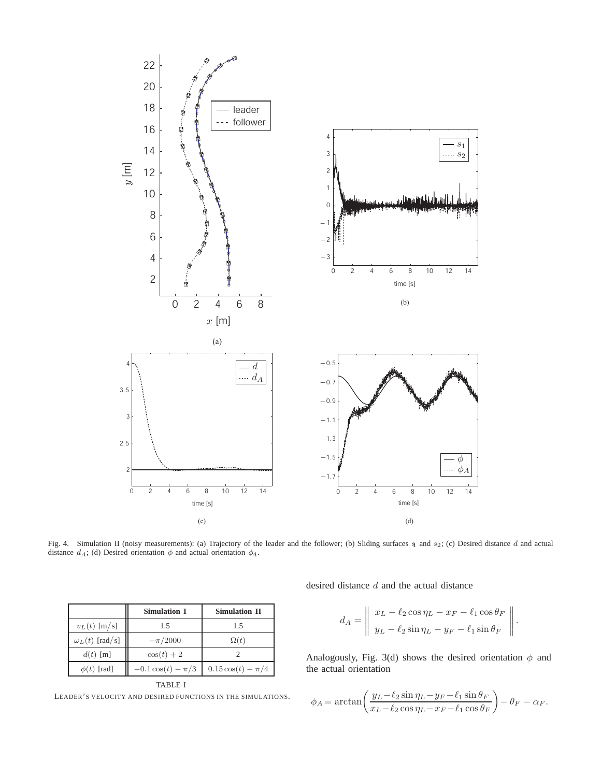

Fig. 4. Simulation II (noisy measurements): (a) Trajectory of the leader and the follower; (b) Sliding surfaces  $\frac{1}{2}$  and  $\frac{1}{2}$ ; (c) Desired distance d and actual distance  $d_A$ ; (d) Desired orientation  $\phi$  and actual orientation  $\phi_A$ .

|                       | <b>Simulation I</b>   | <b>Simulation II</b>  |
|-----------------------|-----------------------|-----------------------|
| $v_L(t)$ [m/s]        | 1.5                   | 1.5                   |
| $\omega_L(t)$ [rad/s] | $-\pi/2000$           | $\Omega(t)$           |
| $d(t)$ [m]            | $\cos(t)+2$           |                       |
| $\phi(t)$ [rad]       | $-0.1\cos(t) - \pi/3$ | $0.15\cos(t) - \pi/4$ |
| TABLE I               |                       |                       |

LEADER'S VELOCITY AND DESIRED FUNCTIONS IN THE SIMULATIONS.

desired distance d and the actual distance

$$
d_A = \left\| \begin{array}{l} x_L - \ell_2 \cos \eta_L - x_F - \ell_1 \cos \theta_F \\ y_L - \ell_2 \sin \eta_L - y_F - \ell_1 \sin \theta_F \end{array} \right\|.
$$

Analogously, Fig. 3(d) shows the desired orientation  $\phi$  and the actual orientation

$$
\phi_A = \arctan\left(\frac{y_L - \ell_2 \sin \eta_L - y_F - \ell_1 \sin \theta_F}{x_L - \ell_2 \cos \eta_L - x_F - \ell_1 \cos \theta_F}\right) - \theta_F - \alpha_F.
$$